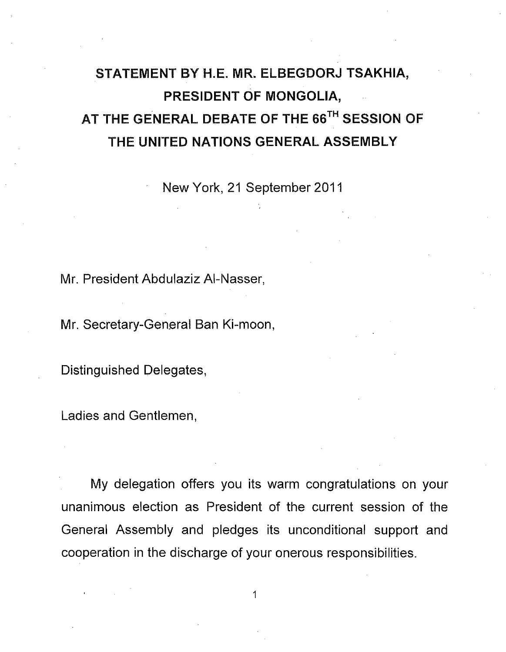## STATEMENT BY H.E. MR. ELBEGDORJ TSAKHIA, PRESIDENT **OF** MONGOLIA, AT THE GENERAL DEBATE **OF** THE 66TH SESSION **OF** THE UNITED NATIONS GENERAL ASSEMBLY

. New York, 21 September 2011

Mr. President Abdulaziz AI-Nasser,

Mr. Secretary-General Ban Ki-moon,

Distinguished Delegates,

Ladies and Gentlemen,

My delegation offers you its warm congratulations on your unanimous election as President of the current session of the General Assembly and pledges its unconditional support and cooperation in the discharge of your onerous responsibilities.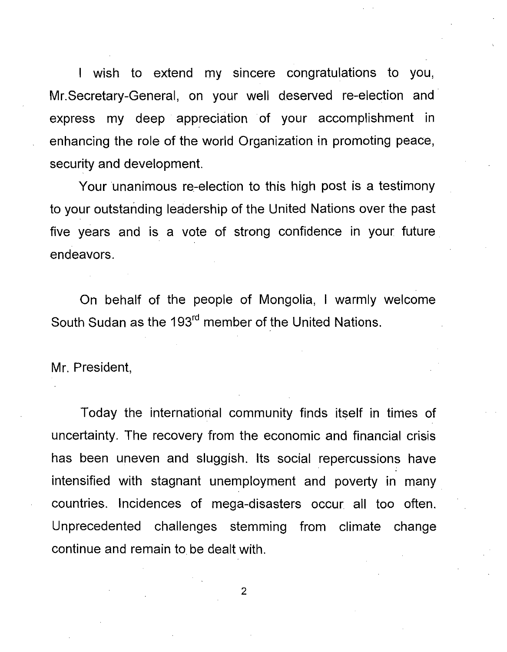I wish to extend my sincere congratulations to you, Mr. Secretary-General, on your well deserved re-election and express my deep appreciation of your accomplishment in enhancing the role of the world Organization in promoting peace, security and development.

Your unanimous re-election to this high post is a testimony to your outstanding leadership of the United Nations over the past five years and is a vote of strong confidence in your future endeavors.

On behalf of the people of Mongolia, I warmly welcome South Sudan as the 193<sup>rd</sup> member of the United Nations.

Mr. President,

Today the international community finds itself in times of uncertainty. The recovery from the economic and financial crisis has been uneven and sluggish. Its social repercussions have intensified with stagnant unemployment and poverty in many. countries. Incidences of mega-disasters occur all too often. Unprecedented challenges stemming from climate change continue and remain to be dealt with.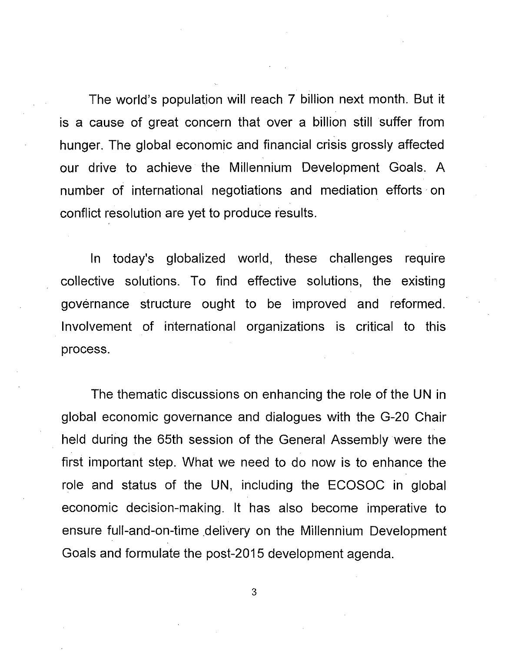The world's population will reach 7 billion next month. But it is a cause of great concern that over a billion still suffer from hunger. The global economic and financial crisis grossly affected our drive to achieve the Millennium Development Goals. A number of international negotiations and mediation efforts· on conflict resolution are yet to produce results.

In today's globalized world, these challenges require collective solutions. To find effective solutions, the existing governance structure ought to be improved and reformed. Involvement of international organizations is critical to this process.

The thematic discussions on enhancing the role of the UN in global economic governance and dialogues with the G-20 Chair held during the 65th session of the General Assembly were the first important step. What we need to do now is to enhance the role and status of the UN, including the ECOSOC in global economic decision-making. It has also become imperative to ensure full-and-on-time delivery on the Millennium Development Goals and formulate the post-2015 development agenda.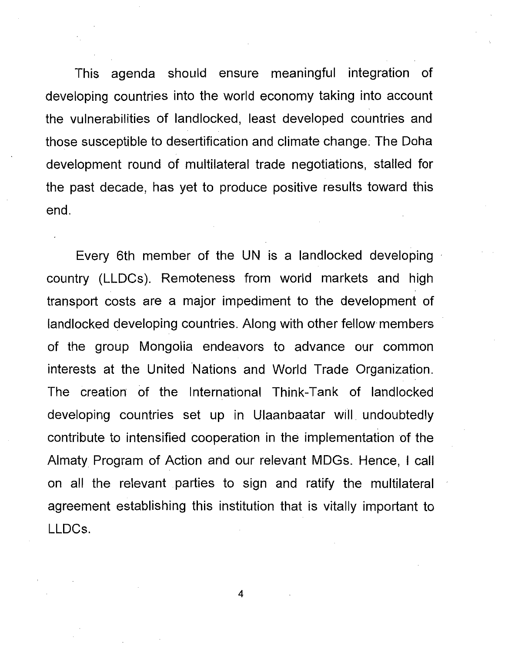This agenda should ensure meaningful integration of developing countries into the world economy taking into account the vulnerabilities of landlocked, least developed countries and those susceptible to desertification and climate change; The Doha development round of multilateral trade negotiations, stalled for the past decade, has yet to produce positive results toward this end.

Every 6th member of the UN is a landlocked developing country (LLDCs). Remoteness from world markets and high transport costs are a major impediment to the development of landlocked developing countries. Along with other fellow members of the group Mongolia endeavors to advance our common interests at the United Nations and World Trade Organization. The creation of the International Think-Tank of landlocked developing countries set up in Ulaanbaatar will undoubtedly contribute to intensified cooperation in the implementation of the Almaty Program of Action and our relevant MDGs. Hence, I call on all the relevant parties to sign and ratify the multilateral agreement establishing this institution that is vitally important to LLDCs.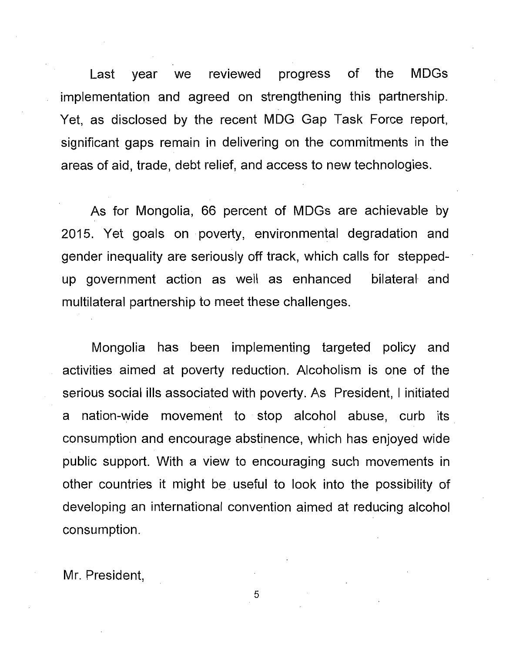Last year we reviewed progress of the MDGs implementation and agreed on strengthening this partnership. Yet, as disclosed by the recent MDG Gap Task Force report, significant gaps remain in delivering on the commitments in the areas of aid, trade, debt relief, and access to new technologies.

As for Mongolia, 66 percent of MDGs are achievable by 2015. Yet goals on poverty, environmental degradation and gender inequality are seriously off track, which calls for steppedup government action as well as enhanced bilateral and multilateral partnership to meet these challenges.

Mongolia has been implementing targeted policy and activities aimed at poverty reduction. Alcoholism is one of the serious social ills associated with poverty. As President, I initiated a nation-wide movement to stop alcohol abuse, curb its. consumption and encourage abstinence, which has enjoyed wide public support. With a view to encouraging such movements in other countries it might be useful to look into the possibility of developing an international convention aimed at reducing alcohol consumption.

Mr. President,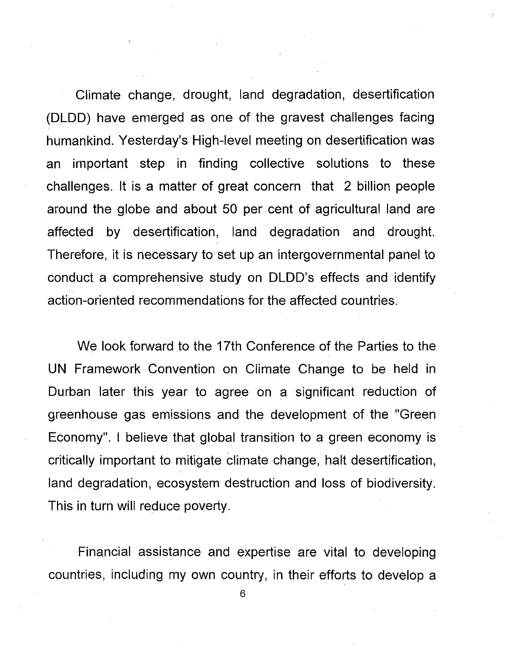Climate change, drought, land degradation, desertification (DLDD) have emerged as one of the gravest challenges facing humankind. Yesterday's High-level meeting on desertification was an important step in finding collective solutions to these challenges. It is a matter of great concern that 2 billion people around the globe and about 50 per cent of agricultural land are affected by desertification, land degradation and drought. Therefore, it is necessary to set up an intergovernmental panel to conduct a comprehensive study on DLDD's effects and identify action-oriented recommendations for the affected countries.

We look forward to the 17th Conference of the Parties to the UN Framework Convention on Climate Change to be held In Durban later this year to agree on a significant reduction of greenhouse gas emissions and the development of the "Green Economy". I believe that global transition to a green economy is critically important to mitigate climate change, halt desertification, land degradation, ecosystem destruction and loss of biodiversity. This in turn will reduce poverty.

Financial assistance and expertise are vital to developing countries, including my own country, in their efforts to develop a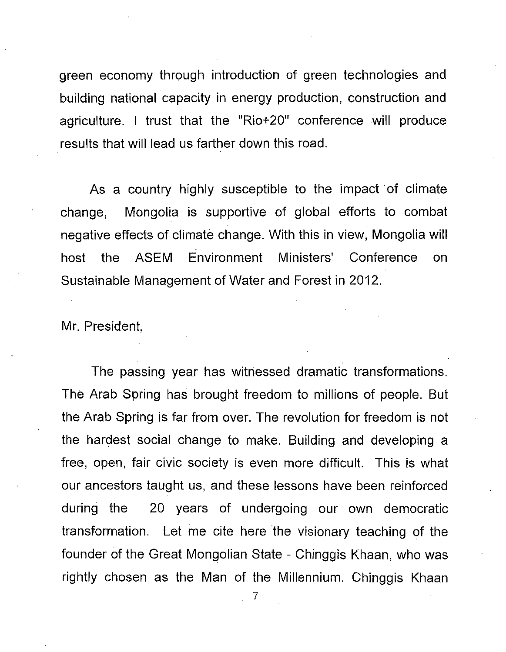green economy through introduction of green technologies and building national capacity in energy production, construction and agriculture. I trust that the "Rio+20" conference will produce results that will lead us farther down this road.

As a country highly susceptible to the impact of climate change, Mongolia is supportive of global efforts to combat negative effects of climate change. With this in view, Mongolia will host the ASEM Environment Ministers' Conference on Sustainable Management of Water and Forest in 2012.

Mr. President,

The passing year has witnessed dramatic transformations. The Arab Spring has brought freedom to millions of people. But the Arab Spring is far from over. The revolution for freedom is not the hardest social change to make. Building and developing a free, open, fair civic society is even more difficult. This is what our ancestors taught us, and these lessons have been reinforced during the 20 years of undergoing our own democratic transformation. Let me cite here the visionary teaching of the founder of the Great Mongolian State - Chinggis Khaan, who was rightly chosen as the Man of the Millennium. Chinggis Khaan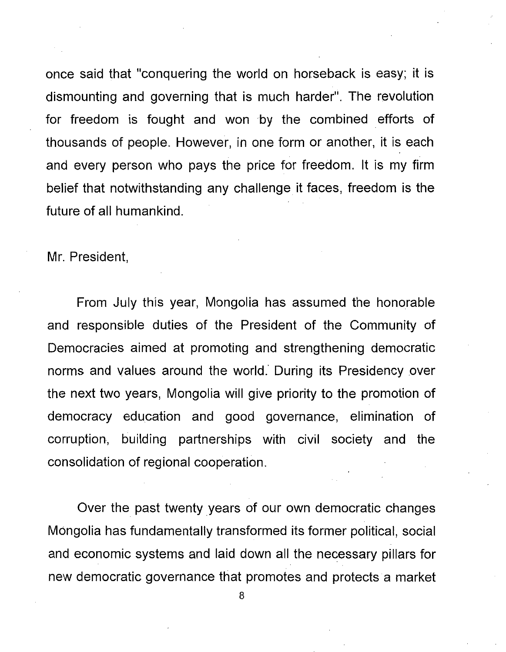once said that "conquering the world on horseback is easy; it is dismounting and governing that is much harder". The revolution for freedom is fought and won by the combined efforts of thousands of people. However, in one form or another, it is each and every person who pays the price for freedom. It is my firm belief that notwithstanding any challenge it faces, freedom is the future of all humankind.

Mr. President,

From July this year, Mongolia has assumed the honorable and responsible duties of the President of the Community of Democracies aimed at promoting and strengthening democratic norms and values around the world.' During its Presidency over the next two years, Mongolia will give priority to the promotion of democracy education and good governance, elimination of corruption, building partnerships with civil society and the consolidation of regional cooperation.

Over the past twenty years of our own democratic changes Mongolia has fundamentally transformed its former political, social and economic systems and laid down all the necessary pillars for new democratic governance that promotes and protects a market

<sup>8</sup>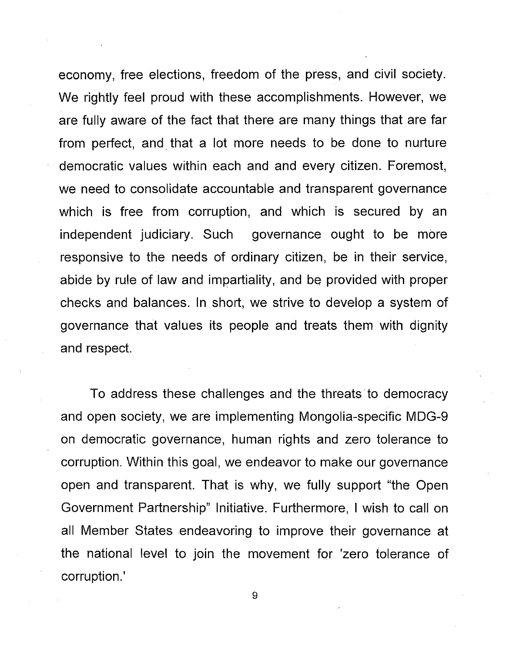economy, free elections, freedom of the press, and civil society. We rightly feel proud with these accomplishments. However, we are fully aware of the fact that there are many things that are far from perfect, and. that a lot more needs to be done to nurture democratic values within each and and every citizen. Foremost, we need to consolidate accountable and transparent governance which is free from corruption, and which is secured by an independent judiciary. Such governance ought to be more responsive to the needs of ordinary citizen, be in their service, abide by rule of law and impartiality, and be provided with proper checks and balances. In short, we strive to develop a system of governance that values its people and treats them with dignity and respect.

To address these challenges and the threats to democracy and open society, we are implementing Mongolia-specific MDG-9 on democratic governance, human rights and zero tolerance to corruption. Within this goal, we endeavor to make our governance open and transparent. That is why, we fully support "the Open Government Partnership" Initiative. Furthermore, I wish to call on all Member States endeavoring to improve their governance at the national level to join the movement for 'zero tolerance of corruption.'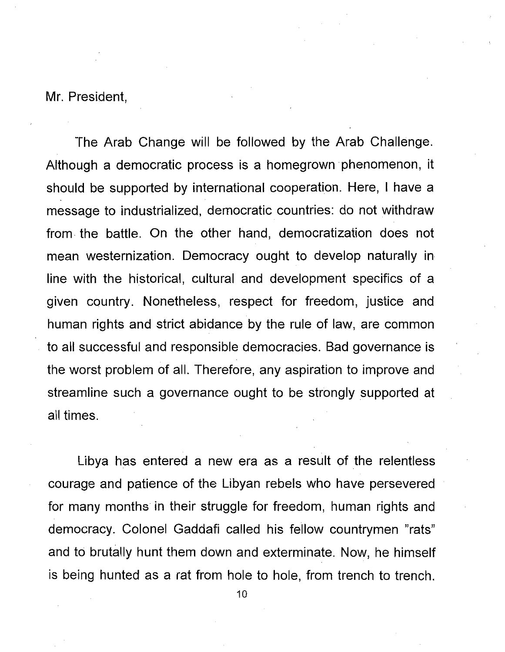Mr. President,

The Arab Change will be followed by the Arab Challenge. Although a democratic process is a homegrown phenomenon, it should be supported by international cooperation. Here, I have a message to industrialized, democratic countries: do not withdraw from· the battle. On the other hand, democratization does not mean westernization. Democracy ought to develop naturally in line with the historical, cultural and development specifics of a given country. Nonetheless, respect for freedom, justice and human rights and strict abidance by the rule of law, are common to all successful and responsible democracies. Bad governance is the worst problem of all. Therefore, any aspiration to improve and streamline such a governance ought to be strongly supported at all times.

Libya has entered a new era as a result of the relentless courage and patience of the Libyan rebels who have persevered for many months in their struggle for freedom, human rights and democracy. Colonel Gaddafi called his fellow countrymen "rats" and to brutally hunt them down and exterminate. Now, he himself is being hunted as a rat from hole to hole, from trench to trench.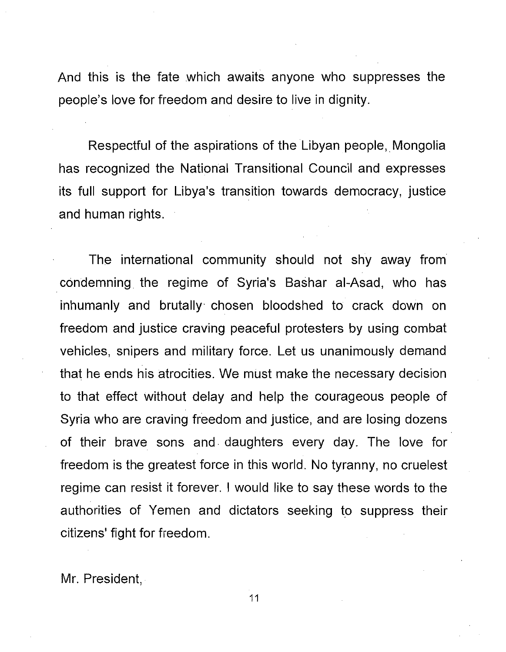And this is the fate which awaits anyone who suppresses the people's love for freedom and desire to live in dignity.

Respectful of the aspirations of the Libyan people, Mongolia has recognized the National Transitional Council and expresses its full support for Libya's transition towards democracy, justice and human rights.

The international community should not shy away from condemning the regime of Syria's Bashar al-Asad, who has inhumanly and brutally· chosen bloodshed to crack down on freedom and justice craving peaceful protesters by using combat vehicles, snipers and military force. Let us unanimously demand that he ends his atrocities. We must make the necessary decision to that effect without delay and help the courageous people of Syria who are craving freedom and justice, and are losing dozens of their brave sons and· daughters every day. The love for freedom is the greatest force in this world. No tyranny, no cruelest regime can resist it forever. I would like to say these words to the authorities of Yemen and dictators seeking to suppress their citizens' fight for freedom.

Mr. President,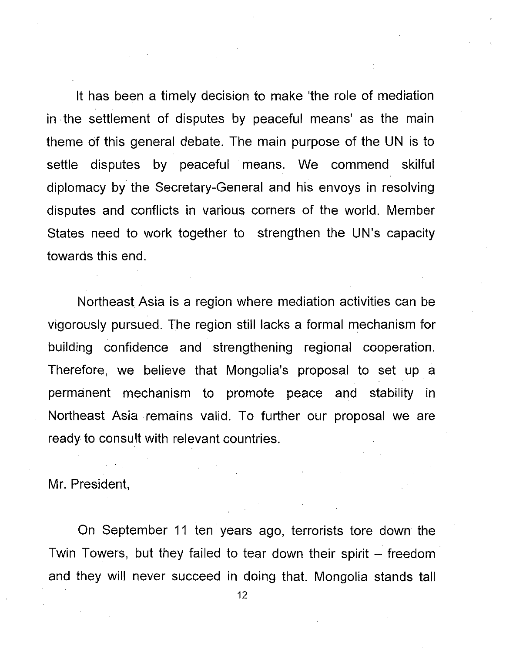It has been a timely decision to make 'the role of mediation in the settlement of disputes by peaceful means' as the main theme of this general debate. The main purpose of the UN is to settle disputes by peaceful means. We commend skilful diplomacy by the Secretary-General and his envoys in resolving disputes and conflicts in various corners of the world. Member States need to work together to strengthen the UN's capacity towards this end.

Northeast Asia is a region where mediation activities can be vigorously pursued. The region still lacks a formal mechanism for building confidence and strengthening regional cooperation. Therefore, we believe that Mongolia's proposal to set up a permanent mechanism to promote peace and stability in Northeast Asia remains valid. To further our proposal we are ready to consult with relevant countries.

Mr. President,

On September 11 ten years ago, terrorists tore down the Twin Towers, but they failed to tear down their spirit  $-$  freedom and they will never succeed in doing that. Mongolia stands tall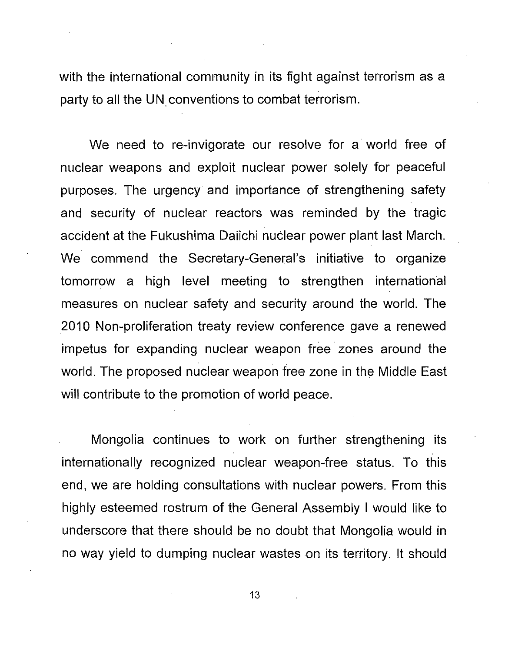with the international community in its fight against terrorism as a party to all the UN conventions to combat terrorism.

We need to re-invigorate our resolve for a world free of nuclear weapons and exploit nuclear power solely for peaceful purposes. The urgency and importance of strengthening safety and security of nuclear reactors was reminded by the tragic accident at the Fukushima Daiichi nuclear power plant last March. We commend the Secretary-General's initiative to organize tomorrow a high level meeting to strengthen international measures on nuclear safety and security around the world. The 2010 Non-proliferation treaty review conference gave a renewed impetus for expanding nuclear weapon free zones around the world. The proposed nuclear weapon free zone in the Middle East will contribute to the promotion of world peace.

Mongolia continues to work on further strengthening its internationally recognized nuclear weapon-free status. To this end, we are holding consultations with nuclear powers. From this highly esteemed rostrum of the General Assembly I would like to underscore that there should be no doubt that Mongolia would in no way yield to dumping nuclear wastes on its territory. It should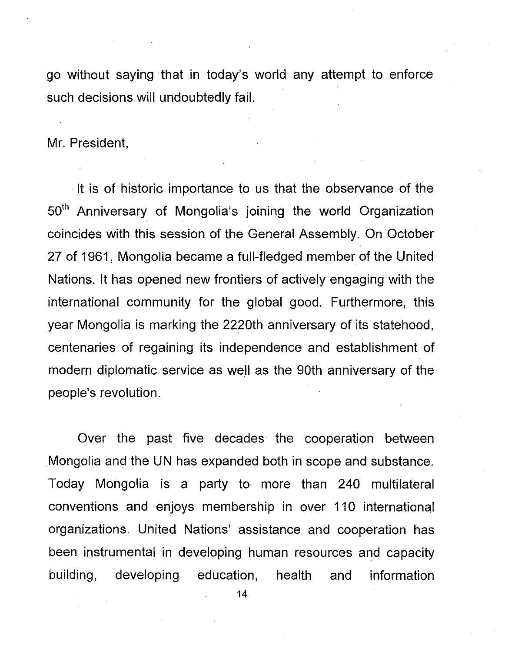go without saying that in today's world any attempt to enforce such decisions will undoubtedly fail.

Mr. President,

It is of historic importance to us that the observance of the 50<sup>th</sup> Anniversary of Mongolia's joining the world Organization coincides with this session of the General Assembly. On October 27 of 1961, Mongolia became a full-fledged member of the United Nations. It has opened new frontiers of actively engaging with the international community for the global good. Furthermore, this year Mongolia is marking the 2220th anniversary of its statehood, centenaries of regaining its independence and establishment of modern diplomatic service as well as the 90th anniversary of the people's revolution.

Over the past five decades the cooperation between Mongolia and the UN has expanded both in scope and substance. Today Mongolia is a party to more than 240 multilateral conventions and enjoys membership in over 110 international organizations. United Nations' assistance and cooperation has been instrumental in developing human resources and capacity building, developing education, health and information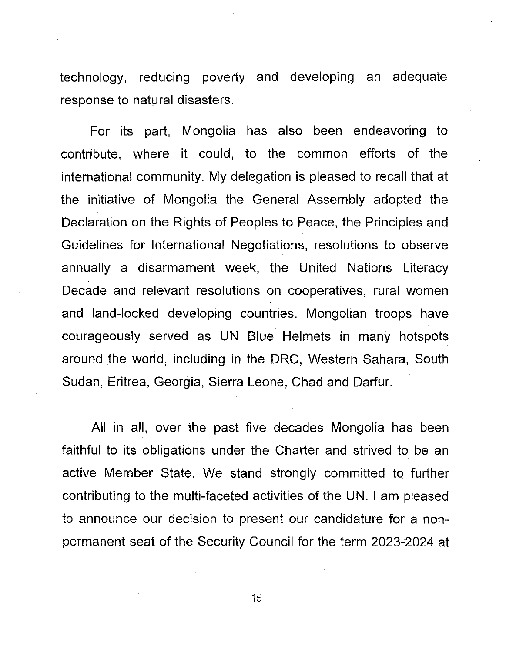technology, reducing poverty and developing an adequate response to natural disasters.

For its part, Mongolia has also been endeavoring to contribute, where it could, to the common efforts of the international community. My delegation is pleased to recall that at the initiative of Mongolia the General Assembly adopted the Declaration on the Rights of Peoples to Peace, the Principles and· Guidelines for International Negotiations, resolutions to observe annually a disarmament week, the United Nations Literacy Decade and relevant resolutions on cooperatives, rural women and land-locked developing countries. Mongolian troops have courageously served as UN Blue Helmets in many hotspots around the world, including in the DRC, Western Sahara, South Sudan, Eritrea, Georgia, Sierra Leone, Chad and Darfur.

All in all, over the past five decades Mongolia has been faithful to its obligations under the Charter and strived to be an active Member State. We stand strongly committed to further contributing to the multi-faceted activities of the UN. I am pleased to announce our decision to present our candidature for a nonpermanent seat of the Security Council for the term 2023..2024 at